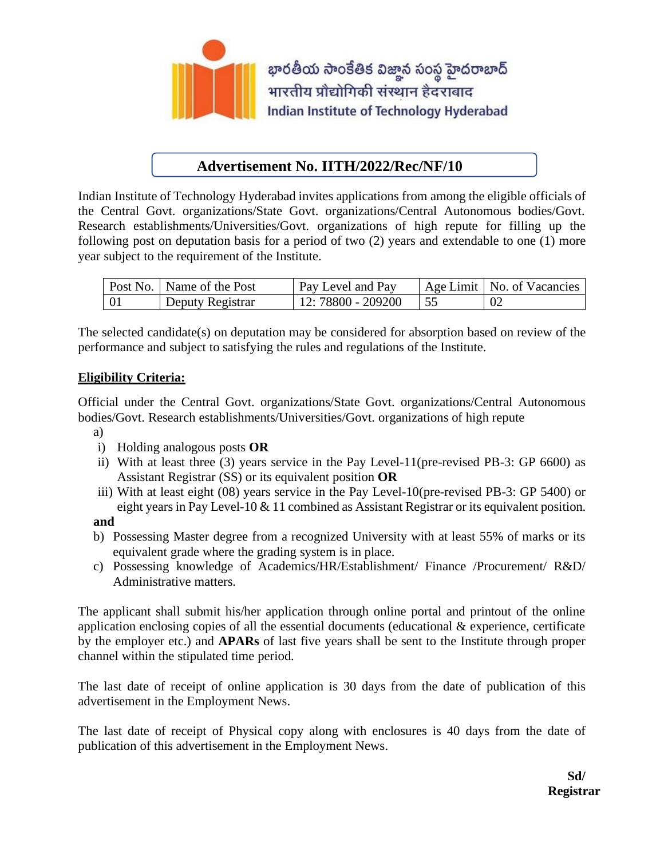

## **Advertisement No. IITH/2022/Rec/NF/10**

Indian Institute of Technology Hyderabad invites applications from among the eligible officials of the Central Govt. organizations/State Govt. organizations/Central Autonomous bodies/Govt. Research establishments/Universities/Govt. organizations of high repute for filling up the following post on deputation basis for a period of two (2) years and extendable to one (1) more year subject to the requirement of the Institute.

|     | Post No.   Name of the Post | Pay Level and Pay  | Age Limit   No. of Vacancies |
|-----|-----------------------------|--------------------|------------------------------|
| -01 | Deputy Registrar            | 12: 78800 - 209200 |                              |

The selected candidate(s) on deputation may be considered for absorption based on review of the performance and subject to satisfying the rules and regulations of the Institute.

### **Eligibility Criteria:**

Official under the Central Govt. organizations/State Govt. organizations/Central Autonomous bodies/Govt. Research establishments/Universities/Govt. organizations of high repute

- a)
- i) Holding analogous posts **OR**
- ii) With at least three (3) years service in the Pay Level-11(pre-revised PB-3: GP 6600) as Assistant Registrar (SS) or its equivalent position **OR**
- iii) With at least eight (08) years service in the Pay Level-10(pre-revised PB-3: GP 5400) or eight years in Pay Level-10 & 11 combined as Assistant Registrar or its equivalent position.

#### **and**

- b) Possessing Master degree from a recognized University with at least 55% of marks or its equivalent grade where the grading system is in place.
- c) Possessing knowledge of Academics/HR/Establishment/ Finance /Procurement/ R&D/ Administrative matters.

The applicant shall submit his/her application through online portal and printout of the online application enclosing copies of all the essential documents (educational & experience, certificate by the employer etc.) and **APARs** of last five years shall be sent to the Institute through proper channel within the stipulated time period.

The last date of receipt of online application is 30 days from the date of publication of this advertisement in the Employment News.

The last date of receipt of Physical copy along with enclosures is 40 days from the date of publication of this advertisement in the Employment News.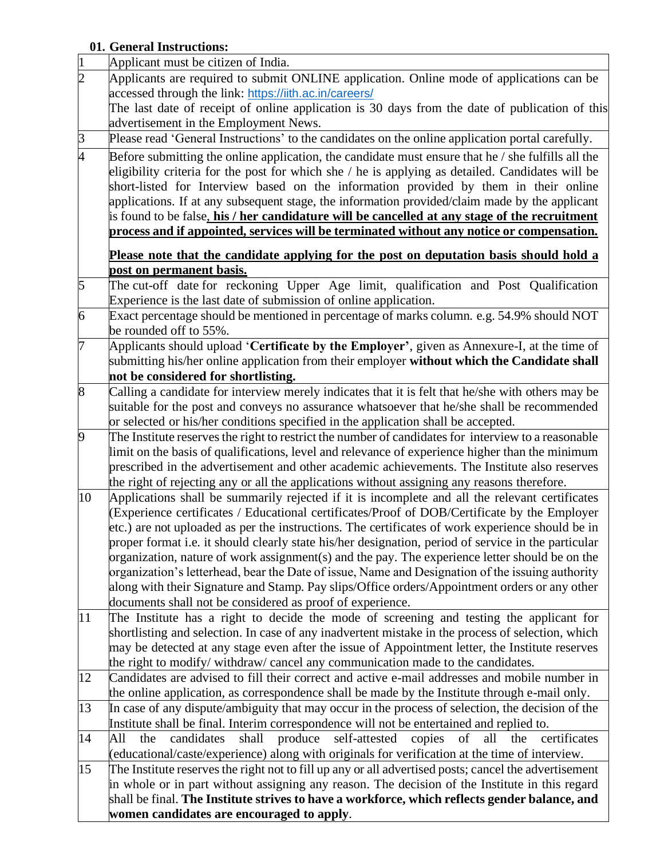# **01. General Instructions:**

| $\vert$          | Applicant must be citizen of India.                                                                                                                                                                                                                                                                                                                                                                                                                                                               |  |  |  |  |  |
|------------------|---------------------------------------------------------------------------------------------------------------------------------------------------------------------------------------------------------------------------------------------------------------------------------------------------------------------------------------------------------------------------------------------------------------------------------------------------------------------------------------------------|--|--|--|--|--|
| $\overline{2}$   | Applicants are required to submit ONLINE application. Online mode of applications can be                                                                                                                                                                                                                                                                                                                                                                                                          |  |  |  |  |  |
|                  | accessed through the link: https://iith.ac.in/careers/                                                                                                                                                                                                                                                                                                                                                                                                                                            |  |  |  |  |  |
|                  | The last date of receipt of online application is 30 days from the date of publication of this                                                                                                                                                                                                                                                                                                                                                                                                    |  |  |  |  |  |
|                  | advertisement in the Employment News.                                                                                                                                                                                                                                                                                                                                                                                                                                                             |  |  |  |  |  |
| $\beta$          | Please read 'General Instructions' to the candidates on the online application portal carefully.                                                                                                                                                                                                                                                                                                                                                                                                  |  |  |  |  |  |
| 4                | Before submitting the online application, the candidate must ensure that he / she fulfills all the<br>eligibility criteria for the post for which she / he is applying as detailed. Candidates will be<br>short-listed for Interview based on the information provided by them in their online<br>applications. If at any subsequent stage, the information provided/claim made by the applicant<br>is found to be false, his / her candidature will be cancelled at any stage of the recruitment |  |  |  |  |  |
|                  | process and if appointed, services will be terminated without any notice or compensation.                                                                                                                                                                                                                                                                                                                                                                                                         |  |  |  |  |  |
|                  | Please note that the candidate applying for the post on deputation basis should hold a                                                                                                                                                                                                                                                                                                                                                                                                            |  |  |  |  |  |
|                  | <u>post on permanent basis.</u>                                                                                                                                                                                                                                                                                                                                                                                                                                                                   |  |  |  |  |  |
| $\overline{5}$   | The cut-off date for reckoning Upper Age limit, qualification and Post Qualification                                                                                                                                                                                                                                                                                                                                                                                                              |  |  |  |  |  |
|                  | Experience is the last date of submission of online application.                                                                                                                                                                                                                                                                                                                                                                                                                                  |  |  |  |  |  |
| 6                | Exact percentage should be mentioned in percentage of marks column. e.g. 54.9% should NOT                                                                                                                                                                                                                                                                                                                                                                                                         |  |  |  |  |  |
|                  | be rounded off to 55%.                                                                                                                                                                                                                                                                                                                                                                                                                                                                            |  |  |  |  |  |
| 7                | Applicants should upload 'Certificate by the Employer', given as Annexure-I, at the time of<br>submitting his/her online application from their employer without which the Candidate shall<br>not be considered for shortlisting.                                                                                                                                                                                                                                                                 |  |  |  |  |  |
| $\boldsymbol{8}$ | Calling a candidate for interview merely indicates that it is felt that he/she with others may be                                                                                                                                                                                                                                                                                                                                                                                                 |  |  |  |  |  |
|                  | suitable for the post and conveys no assurance whatsoever that he/she shall be recommended                                                                                                                                                                                                                                                                                                                                                                                                        |  |  |  |  |  |
|                  | or selected or his/her conditions specified in the application shall be accepted.                                                                                                                                                                                                                                                                                                                                                                                                                 |  |  |  |  |  |
| $\boldsymbol{9}$ | The Institute reserves the right to restrict the number of candidates for interview to a reasonable                                                                                                                                                                                                                                                                                                                                                                                               |  |  |  |  |  |
|                  | limit on the basis of qualifications, level and relevance of experience higher than the minimum                                                                                                                                                                                                                                                                                                                                                                                                   |  |  |  |  |  |
|                  | prescribed in the advertisement and other academic achievements. The Institute also reserves                                                                                                                                                                                                                                                                                                                                                                                                      |  |  |  |  |  |
|                  | the right of rejecting any or all the applications without assigning any reasons therefore.                                                                                                                                                                                                                                                                                                                                                                                                       |  |  |  |  |  |
| 10               | Applications shall be summarily rejected if it is incomplete and all the relevant certificates                                                                                                                                                                                                                                                                                                                                                                                                    |  |  |  |  |  |
|                  | (Experience certificates / Educational certificates/Proof of DOB/Certificate by the Employer                                                                                                                                                                                                                                                                                                                                                                                                      |  |  |  |  |  |
|                  | etc.) are not uploaded as per the instructions. The certificates of work experience should be in                                                                                                                                                                                                                                                                                                                                                                                                  |  |  |  |  |  |
|                  | proper format i.e. it should clearly state his/her designation, period of service in the particular                                                                                                                                                                                                                                                                                                                                                                                               |  |  |  |  |  |
|                  | organization, nature of work assignment(s) and the pay. The experience letter should be on the                                                                                                                                                                                                                                                                                                                                                                                                    |  |  |  |  |  |
|                  | organization's letterhead, bear the Date of issue, Name and Designation of the issuing authority                                                                                                                                                                                                                                                                                                                                                                                                  |  |  |  |  |  |
|                  | along with their Signature and Stamp. Pay slips/Office orders/Appointment orders or any other                                                                                                                                                                                                                                                                                                                                                                                                     |  |  |  |  |  |
|                  | documents shall not be considered as proof of experience.                                                                                                                                                                                                                                                                                                                                                                                                                                         |  |  |  |  |  |
| 11               | The Institute has a right to decide the mode of screening and testing the applicant for                                                                                                                                                                                                                                                                                                                                                                                                           |  |  |  |  |  |
|                  | shortlisting and selection. In case of any inadvertent mistake in the process of selection, which                                                                                                                                                                                                                                                                                                                                                                                                 |  |  |  |  |  |
|                  | may be detected at any stage even after the issue of Appointment letter, the Institute reserves                                                                                                                                                                                                                                                                                                                                                                                                   |  |  |  |  |  |
|                  | the right to modify/ withdraw/ cancel any communication made to the candidates.                                                                                                                                                                                                                                                                                                                                                                                                                   |  |  |  |  |  |
| 12               | Candidates are advised to fill their correct and active e-mail addresses and mobile number in                                                                                                                                                                                                                                                                                                                                                                                                     |  |  |  |  |  |
| 13               | the online application, as correspondence shall be made by the Institute through e-mail only.                                                                                                                                                                                                                                                                                                                                                                                                     |  |  |  |  |  |
|                  | In case of any dispute/ambiguity that may occur in the process of selection, the decision of the<br>Institute shall be final. Interim correspondence will not be entertained and replied to.                                                                                                                                                                                                                                                                                                      |  |  |  |  |  |
| 14               | shall produce<br>self-attested<br>of<br>candidates<br>copies<br>all<br>the<br>All<br>the<br>certificates                                                                                                                                                                                                                                                                                                                                                                                          |  |  |  |  |  |
|                  | (educational/caste/experience) along with originals for verification at the time of interview.                                                                                                                                                                                                                                                                                                                                                                                                    |  |  |  |  |  |
| 15               | The Institute reserves the right not to fill up any or all advertised posts; cancel the advertisement                                                                                                                                                                                                                                                                                                                                                                                             |  |  |  |  |  |
|                  | in whole or in part without assigning any reason. The decision of the Institute in this regard                                                                                                                                                                                                                                                                                                                                                                                                    |  |  |  |  |  |
|                  | shall be final. The Institute strives to have a workforce, which reflects gender balance, and                                                                                                                                                                                                                                                                                                                                                                                                     |  |  |  |  |  |
|                  | women candidates are encouraged to apply.                                                                                                                                                                                                                                                                                                                                                                                                                                                         |  |  |  |  |  |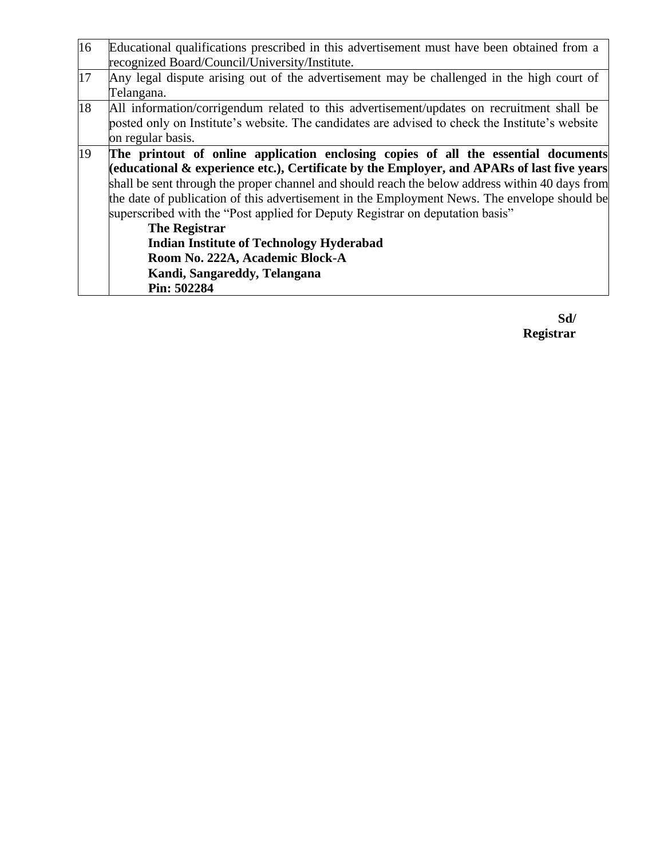| 16                                                                                       | Educational qualifications prescribed in this advertisement must have been obtained from a      |  |  |  |  |
|------------------------------------------------------------------------------------------|-------------------------------------------------------------------------------------------------|--|--|--|--|
|                                                                                          | recognized Board/Council/University/Institute.                                                  |  |  |  |  |
| 17                                                                                       | Any legal dispute arising out of the advertisement may be challenged in the high court of       |  |  |  |  |
|                                                                                          | Telangana.                                                                                      |  |  |  |  |
| 18                                                                                       | All information/corrigendum related to this advertisement/updates on recruitment shall be       |  |  |  |  |
|                                                                                          | posted only on Institute's website. The candidates are advised to check the Institute's website |  |  |  |  |
|                                                                                          | on regular basis.                                                                               |  |  |  |  |
| 19<br>The printout of online application enclosing copies of all the essential documents |                                                                                                 |  |  |  |  |
|                                                                                          | (educational & experience etc.), Certificate by the Employer, and APARs of last five years      |  |  |  |  |
|                                                                                          | shall be sent through the proper channel and should reach the below address within 40 days from |  |  |  |  |
|                                                                                          | the date of publication of this advertisement in the Employment News. The envelope should be    |  |  |  |  |
|                                                                                          | superscribed with the "Post applied for Deputy Registrar on deputation basis"                   |  |  |  |  |
|                                                                                          | <b>The Registrar</b>                                                                            |  |  |  |  |
|                                                                                          | <b>Indian Institute of Technology Hyderabad</b>                                                 |  |  |  |  |
|                                                                                          | Room No. 222A, Academic Block-A                                                                 |  |  |  |  |
|                                                                                          | Kandi, Sangareddy, Telangana                                                                    |  |  |  |  |
|                                                                                          | Pin: 502284                                                                                     |  |  |  |  |

**Sd/ Registrar**